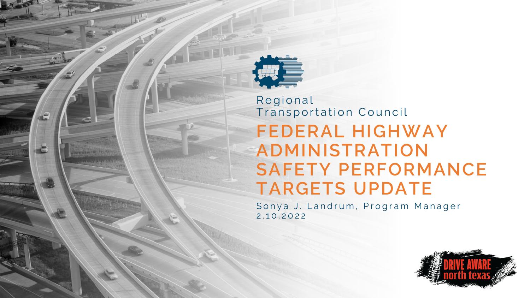

#### **FEDERAL HIGHWAY ADMINISTRATION SAFETY PERFORMANCE TARGETS UPDATE** Regional Transportation Council

Sonya J. Landrum, Program Manager 2 . 1 0 . 2 0 2 2

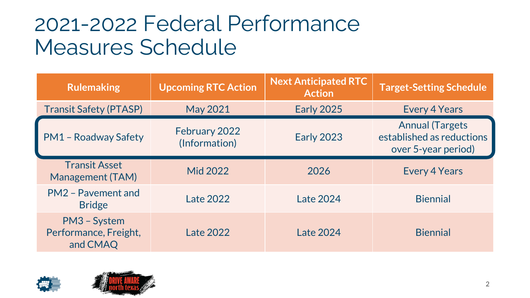#### 2021-2022 Federal Performance Measures Schedule

| <b>Rulemaking</b>                                 | <b>Upcoming RTC Action</b>     | <b>Next Anticipated RTC</b><br><b>Action</b>   | <b>Target-Setting Schedule</b> |
|---------------------------------------------------|--------------------------------|------------------------------------------------|--------------------------------|
| <b>Transit Safety (PTASP)</b>                     | <b>May 2021</b>                | <b>Early 2025</b>                              | <b>Every 4 Years</b>           |
| <b>PM1 - Roadway Safety</b>                       | February 2022<br>(Information) | <b>Early 2023</b><br>established as reductions |                                |
| <b>Transit Asset</b><br><b>Management (TAM)</b>   | <b>Mid 2022</b>                | 2026                                           | <b>Every 4 Years</b>           |
| PM2 - Pavement and<br><b>Bridge</b>               | <b>Late 2022</b>               | <b>Late 2024</b>                               | <b>Biennial</b>                |
| PM3 - System<br>Performance, Freight,<br>and CMAQ | <b>Late 2022</b>               | Late 2024                                      | <b>Biennial</b>                |



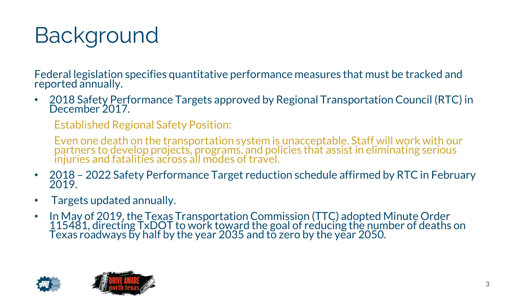# Background

Federal legislation specifies quantitative performance measures that must be tracked and reported annually.

• 2018 Safety Performance Targets approved by Regional Transportation Council (RTC) in December 2017.

Established Regional Safety Position:

Even one death on the transportation system is unacceptable. Staff will work with our partners to develop projects, programs, and policies that assist in eliminating serious injuries and fatalities across all modes of travel.

- 2018 2022 Safety Performance Target reduction schedule affirmed by RTC in February 2019.
- Targets updated annually.
- In May of 2019, the Texas Transportation Commission (TTC) adopted Minute Order 115481, directing TxDOT to work toward the goal of reducing the number of deaths on Texas roadways by half by the year 2035 and to zero by the year 2050.



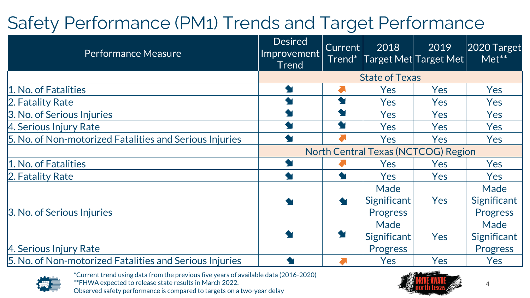#### Safety Performance (PM1) Trends and Target Performance

| <b>Performance Measure</b>                              | <b>Desired</b><br>$ {\sf{improvement}} $<br>Trend | <b>Current</b><br>Trend <sup>*</sup> | 2018               | 2019<br>$\sqrt{\textsf{Target Met} \textsf{Target Met} }$ | 2020 Target<br>$Met***$ |
|---------------------------------------------------------|---------------------------------------------------|--------------------------------------|--------------------|-----------------------------------------------------------|-------------------------|
|                                                         | <b>State of Texas</b>                             |                                      |                    |                                                           |                         |
| 1. No. of Fatalities                                    |                                                   |                                      | <b>Yes</b>         | <b>Yes</b>                                                | <b>Yes</b>              |
| 2. Fatality Rate                                        |                                                   | $\blacklozenge$                      | <b>Yes</b>         | <b>Yes</b>                                                | <b>Yes</b>              |
| 3. No. of Serious Injuries                              |                                                   | $\blacklozenge$                      | <b>Yes</b>         | <b>Yes</b>                                                | <b>Yes</b>              |
| 4. Serious Injury Rate                                  |                                                   |                                      | <b>Yes</b>         | <b>Yes</b>                                                | <b>Yes</b>              |
| 5. No. of Non-motorized Fatalities and Serious Injuries |                                                   |                                      | Yes                | Yes                                                       | Yes                     |
|                                                         | <b>North Central Texas (NCTCOG) Region</b>        |                                      |                    |                                                           |                         |
| 1. No. of Fatalities                                    |                                                   |                                      | <b>Yes</b>         | <b>Yes</b>                                                | Yes                     |
| 2. Fatality Rate                                        |                                                   |                                      | <b>Yes</b>         | Yes                                                       | <b>Yes</b>              |
|                                                         |                                                   |                                      | Made               |                                                           | Made                    |
|                                                         |                                                   | <b>State</b>                         | <b>Significant</b> | Yes                                                       | Significant             |
| 3. No. of Serious Injuries                              |                                                   |                                      | <b>Progress</b>    |                                                           | Progress                |
|                                                         |                                                   |                                      | Made               |                                                           | Made                    |
|                                                         |                                                   | $\blacklozenge$                      | Significant        | Yes                                                       | Significant             |
| 4. Serious Injury Rate                                  |                                                   |                                      | Progress           |                                                           | Progress                |
| 5. No. of Non-motorized Fatalities and Serious Injuries |                                                   |                                      | Yes                | Yes                                                       | Yes                     |



\*Current trend using data from the previous five years of available data (2016-2020) \*\*FHWA expected to release state results in March 2022. Observed safety performance is compared to targets on a two-year delay



4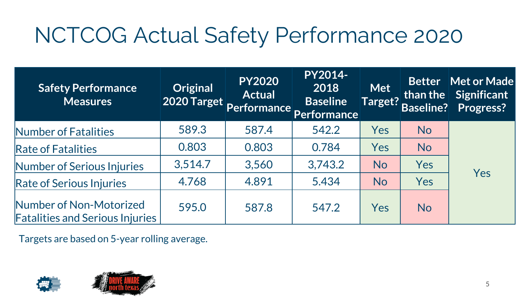# NCTCOG Actual Safety Performance 2020

| <b>Safety Performance</b><br><b>Measures</b>                      | <b>Original</b> | <b>PY2020</b><br><b>Actual</b> | <b>PY2014-</b><br>2018<br>2020 Target Performance Performance | <b>Met</b><br>Target? | than the $  \cdot  $<br><b>Baseline?</b> | Better Met or Made<br>Significant<br>Progress? |
|-------------------------------------------------------------------|-----------------|--------------------------------|---------------------------------------------------------------|-----------------------|------------------------------------------|------------------------------------------------|
| Number of Fatalities                                              | 589.3           | 587.4                          | 542.2                                                         | Yes                   | <b>No</b>                                |                                                |
| <b>Rate of Fatalities</b>                                         | 0.803           | 0.803                          | 0.784                                                         | Yes                   | <b>No</b>                                |                                                |
| Number of Serious Injuries                                        | 3,514.7         | 3,560                          | 3,743.2                                                       | <b>No</b>             | Yes                                      |                                                |
| <b>Rate of Serious Injuries</b>                                   | 4.768           | 4.891                          | 5.434                                                         | <b>No</b>             | Yes                                      | Yes                                            |
| Number of Non-Motorized<br><b>Fatalities and Serious Injuries</b> | 595.0           | 587.8                          | 547.2                                                         | Yes                   | <b>No</b>                                |                                                |

Targets are based on 5-year rolling average.



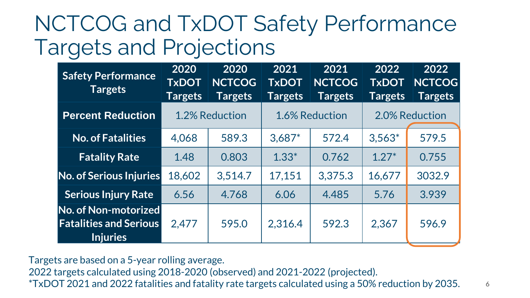#### NCTCOG and TxDOT Safety Performance Targets and Projections

| <b>Safety Performance</b><br><b>Targets</b>                              | 2020<br><b>TxDOT</b><br><b>Targets</b> | 2020<br><b>NCTCOG</b><br><b>Targets</b> | 2021<br><b>TxDOT</b><br><b>Targets</b> | 2021<br><b>NCTCOG</b><br><b>Targets</b> | 2022<br><b>TxDOT</b><br><b>Targets</b> | 2022<br><b>NCTCOG</b><br><b>Targets</b> |
|--------------------------------------------------------------------------|----------------------------------------|-----------------------------------------|----------------------------------------|-----------------------------------------|----------------------------------------|-----------------------------------------|
| <b>Percent Reduction</b>                                                 |                                        | 1.2% Reduction                          |                                        | 1.6% Reduction                          |                                        | 2.0% Reduction                          |
| <b>No. of Fatalities</b>                                                 | 4,068                                  | 589.3                                   | $3,687*$                               | 572.4                                   | $3,563*$                               | 579.5                                   |
| <b>Fatality Rate</b>                                                     | 1.48                                   | 0.803                                   | $1.33*$                                | 0.762                                   | $1.27*$                                | 0.755                                   |
| No. of Serious Injuries                                                  | 18,602                                 | 3,514.7                                 | 17,151                                 | 3,375.3                                 | 16,677                                 | 3032.9                                  |
| <b>Serious Injury Rate</b>                                               | 6.56                                   | 4.768                                   | 6.06                                   | 4.485                                   | 5.76                                   | 3.939                                   |
| No. of Non-motorized<br><b>Fatalities and Serious</b><br><b>Injuries</b> | 2,477                                  | 595.0                                   | 2,316.4                                | 592.3                                   | 2,367                                  | 596.9                                   |

Targets are based on a 5-year rolling average.

2022 targets calculated using 2018-2020 (observed) and 2021-2022 (projected).

\*TxDOT 2021 and 2022 fatalities and fatality rate targets calculated using a 50% reduction by 2035.

6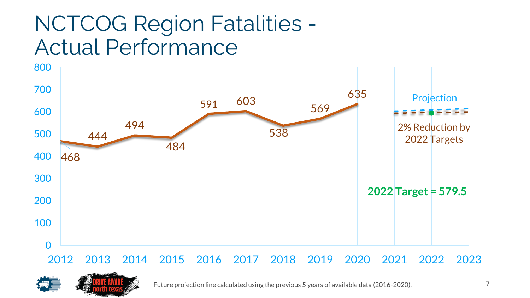### NCTCOG Region Fatalities - Actual Performance



#### 2013 2014 2015 2016 2017 2018 2019 2020 2021 2022 2023



Future projection line calculated using the previous 5 years of available data (2016-2020).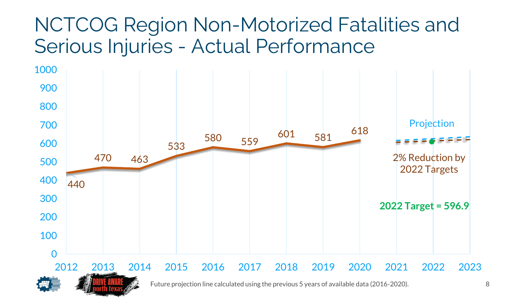#### NCTCOG Region Non-Motorized Fatalities and Serious Injuries - Actual Performance

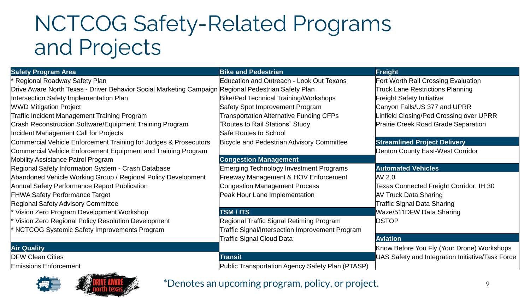### NCTCOG Safety-Related Programs and Projects

| <b>Safety Program Area</b>                                                                          | <b>Bike and Pedestrian</b>                       | <b>Freight</b>                                   |
|-----------------------------------------------------------------------------------------------------|--------------------------------------------------|--------------------------------------------------|
| Regional Roadway Safety Plan                                                                        | <b>Education and Outreach - Look Out Texans</b>  | Fort Worth Rail Crossing Evaluation              |
| Drive Aware North Texas - Driver Behavior Social Marketing Campaign Regional Pedestrian Safety Plan |                                                  | <b>Truck Lane Restrictions Planning</b>          |
| Intersection Safety Implementation Plan                                                             | Bike/Ped Technical Training/Workshops            | <b>Freight Safety Initiative</b>                 |
| <b>WWD Mitigation Project</b>                                                                       | Safety Spot Improvement Program                  | Canyon Falls/US 377 and UPRR                     |
| <b>Traffic Incident Management Training Program</b>                                                 | <b>Transportation Alternative Funding CFPs</b>   | Linfield Closing/Ped Crossing over UPRR          |
| Crash Reconstruction Software/Equipment Training Program                                            | 'Routes to Rail Stations" Study                  | <b>Prairie Creek Road Grade Separation</b>       |
| Incident Management Call for Projects                                                               | Safe Routes to School                            |                                                  |
| Commercial Vehicle Enforcement Training for Judges & Prosecutors                                    | Bicycle and Pedestrian Advisory Committee        | <b>Streamlined Project Delivery</b>              |
| Commercial Vehicle Enforcement Equipment and Training Program                                       |                                                  | <b>Denton County East-West Corridor</b>          |
| <b>Mobility Assistance Patrol Program</b>                                                           | <b>Congestion Management</b>                     |                                                  |
| Regional Safety Information System - Crash Database                                                 | <b>Emerging Technology Investment Programs</b>   | <b>Automated Vehicles</b>                        |
| Abandoned Vehicle Working Group / Regional Policy Development                                       | Freeway Management & HOV Enforcement             | AV 2.0                                           |
| Annual Safety Performance Report Publication                                                        | <b>Congestion Management Process</b>             | <b>Texas Connected Freight Corridor: IH 30</b>   |
| <b>FHWA Safety Performance Target</b>                                                               | Peak Hour Lane Implementation                    | <b>AV Truck Data Sharing</b>                     |
| <b>Regional Safety Advisory Committee</b>                                                           |                                                  | <b>Traffic Signal Data Sharing</b>               |
| Vision Zero Program Development Workshop                                                            | <b>TSM / ITS</b>                                 | Waze/511DFW Data Sharing                         |
| Vision Zero Regional Policy Resolution Development                                                  | Regional Traffic Signal Retiming Program         | <b>DSTOP</b>                                     |
| NCTCOG Systemic Safety Improvements Program                                                         | Traffic Signal/Intersection Improvement Program  |                                                  |
|                                                                                                     | Traffic Signal Cloud Data                        | <b>Aviation</b>                                  |
| <b>Air Quality</b>                                                                                  |                                                  | Know Before You Fly (Your Drone) Workshops       |
| <b>DFW Clean Cities</b>                                                                             | <b>Transit</b>                                   | UAS Safety and Integration Initiative/Task Force |
| <b>Emissions Enforcement</b>                                                                        | Public Transportation Agency Safety Plan (PTASP) |                                                  |



#### \*Denotes an upcoming program, policy, or project.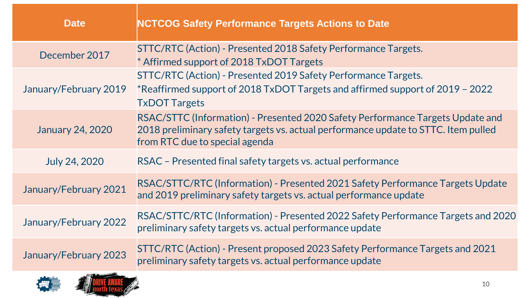| <b>Date</b>             | <b>NCTCOG Safety Performance Targets Actions to Date</b>                                                                                                                                               |
|-------------------------|--------------------------------------------------------------------------------------------------------------------------------------------------------------------------------------------------------|
| December 2017           | STTC/RTC (Action) - Presented 2018 Safety Performance Targets.<br>* Affirmed support of 2018 TxDOT Targets                                                                                             |
| January/February 2019   | <b>STTC/RTC (Action) - Presented 2019 Safety Performance Targets.</b><br>*Reaffirmed support of 2018 TxDOT Targets and affirmed support of 2019 - 2022<br><b>TxDOT Targets</b>                         |
| <b>January 24, 2020</b> | RSAC/STTC (Information) - Presented 2020 Safety Performance Targets Update and<br>2018 preliminary safety targets vs. actual performance update to STTC. Item pulled<br>from RTC due to special agenda |
| <b>July 24, 2020</b>    | RSAC - Presented final safety targets vs. actual performance                                                                                                                                           |
| January/February 2021   | RSAC/STTC/RTC (Information) - Presented 2021 Safety Performance Targets Update<br>and 2019 preliminary safety targets vs. actual performance update                                                    |
| January/February 2022   | RSAC/STTC/RTC (Information) - Presented 2022 Safety Performance Targets and 2020<br>preliminary safety targets vs. actual performance update                                                           |
| January/February 2023   | STTC/RTC (Action) - Present proposed 2023 Safety Performance Targets and 2021<br>preliminary safety targets vs. actual performance update                                                              |